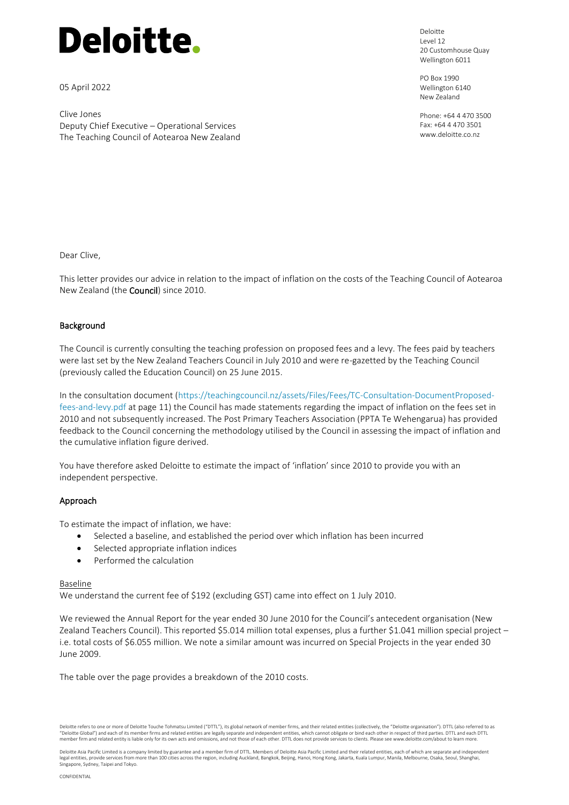

05 April 2022

Clive Jones Deputy Chief Executive – Operational Services The Teaching Council of Aotearoa New Zealand Deloitte Level 12 20 Customhouse Quay Wellington 6011

PO Box 1990 Wellington 6140 New Zealand

Phone: +64 4 470 3500 Fax: +64 4 470 3501 www.deloitte.co.nz

Dear Clive,

This letter provides our advice in relation to the impact of inflation on the costs of the Teaching Council of Aotearoa New Zealand (the Council) since 2010.

# **Background**

The Council is currently consulting the teaching profession on proposed fees and a levy. The fees paid by teachers were last set by the New Zealand Teachers Council in July 2010 and were re-gazetted by the Teaching Council (previously called the Education Council) on 25 June 2015.

In the consultation document [\(https://teachingcouncil.nz/assets/Files/Fees/TC-Consultation-DocumentProposed](https://teachingcouncil.nz/assets/Files/Fees/TC-Consultation-DocumentProposed-fees-and-levy.pdf)[fees-and-levy.pdf](https://teachingcouncil.nz/assets/Files/Fees/TC-Consultation-DocumentProposed-fees-and-levy.pdf) at page 11) the Council has made statements regarding the impact of inflation on the fees set in 2010 and not subsequently increased. The Post Primary Teachers Association (PPTA Te Wehengarua) has provided feedback to the Council concerning the methodology utilised by the Council in assessing the impact of inflation and the cumulative inflation figure derived.

You have therefore asked Deloitte to estimate the impact of 'inflation' since 2010 to provide you with an independent perspective.

## Approach

To estimate the impact of inflation, we have:

- Selected a baseline, and established the period over which inflation has been incurred
- Selected appropriate inflation indices
- Performed the calculation

## Baseline

We understand the current fee of \$192 (excluding GST) came into effect on 1 July 2010.

We reviewed the Annual Report for the year ended 30 June 2010 for the Council's antecedent organisation (New Zealand Teachers Council). This reported \$5.014 million total expenses, plus a further \$1.041 million special project i.e. total costs of \$6.055 million. We note a similar amount was incurred on Special Projects in the year ended 30 June 2009.

The table over the page provides a breakdown of the 2010 costs.

Deloitte refers to one or more of Deloitte Touche Tohmatsu Limited ("DTTL"), its global network of member firms, and their related entities (collectively, the "Deloitte organisation"). DTTL (also referred to as "Deloitte Global") and each of its member firms and related entities are legally separate and independent entities, which cannot obligate or bind each other in respect of third parties. DTTL and each DTTL member firm and related entity is liable only for its own acts and omissions, and not those of each other. DTTL does not provide services to clients. Please see www.deloitte.com/about to learn more.

Deloitte Asia Pacific Limited is a company limited by guarantee and a member firm of DTTL. Members of Deloitte Asia Pacific Limited and their related entities, each of which are separate and independent legal entities, provide services from more than 100 cities across the region, including Auckland, Bangkok, Beijing, Hanoi, Hong Kong, Jakarta, Kuala Lumpur, Manila, Melbourne, Osaka, Seoul, Shanghai, Singapore, Sydney, Taipei and Tokyo.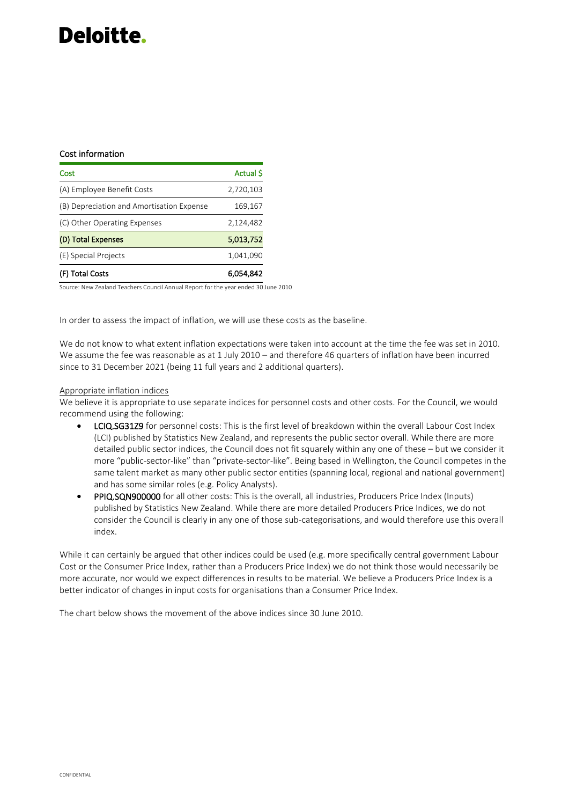# Deloitte.

# Cost information

| Cost                                      | Actual \$ |
|-------------------------------------------|-----------|
| (A) Employee Benefit Costs                | 2,720,103 |
| (B) Depreciation and Amortisation Expense | 169,167   |
| (C) Other Operating Expenses              | 2,124,482 |
| (D) Total Expenses                        | 5,013,752 |
| (E) Special Projects                      | 1,041,090 |
| (F) Total Costs                           | 6,054,842 |

Source: New Zealand Teachers Council Annual Report for the year ended 30 June 2010

In order to assess the impact of inflation, we will use these costs as the baseline.

We do not know to what extent inflation expectations were taken into account at the time the fee was set in 2010. We assume the fee was reasonable as at 1 July 2010 – and therefore 46 quarters of inflation have been incurred since to 31 December 2021 (being 11 full years and 2 additional quarters).

#### Appropriate inflation indices

We believe it is appropriate to use separate indices for personnel costs and other costs. For the Council, we would recommend using the following:

- LCIQ.SG31Z9 for personnel costs: This is the first level of breakdown within the overall Labour Cost Index (LCI) published by Statistics New Zealand, and represents the public sector overall. While there are more detailed public sector indices, the Council does not fit squarely within any one of these – but we consider it more "public-sector-like" than "private-sector-like". Being based in Wellington, the Council competes in the same talent market as many other public sector entities (spanning local, regional and national government) and has some similar roles (e.g. Policy Analysts).
- PPIQ.SQN900000 for all other costs: This is the overall, all industries, Producers Price Index (Inputs) published by Statistics New Zealand. While there are more detailed Producers Price Indices, we do not consider the Council is clearly in any one of those sub-categorisations, and would therefore use this overall index.

While it can certainly be argued that other indices could be used (e.g. more specifically central government Labour Cost or the Consumer Price Index, rather than a Producers Price Index) we do not think those would necessarily be more accurate, nor would we expect differences in results to be material. We believe a Producers Price Index is a better indicator of changes in input costs for organisations than a Consumer Price Index.

The chart below shows the movement of the above indices since 30 June 2010.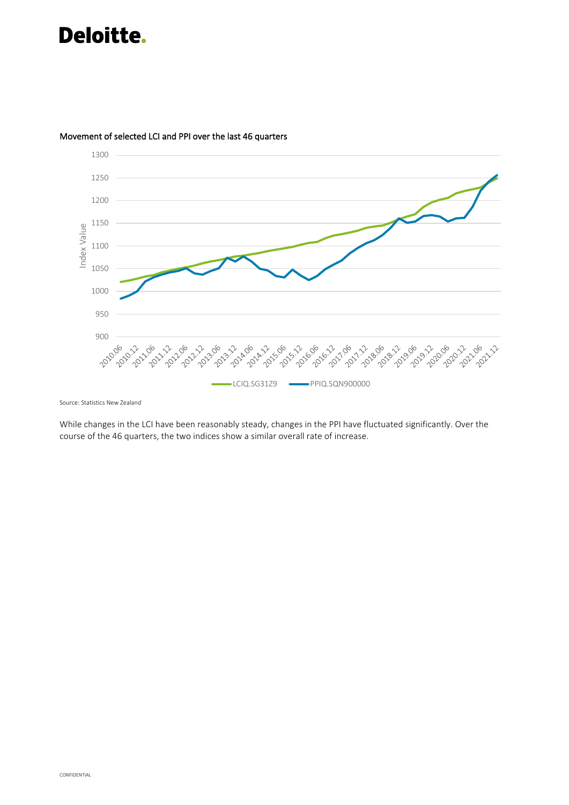# Deloitte.



# Movement of selected LCI and PPI over the last 46 quarters

Source: Statistics New Zealand

While changes in the LCI have been reasonably steady, changes in the PPI have fluctuated significantly. Over the course of the 46 quarters, the two indices show a similar overall rate of increase.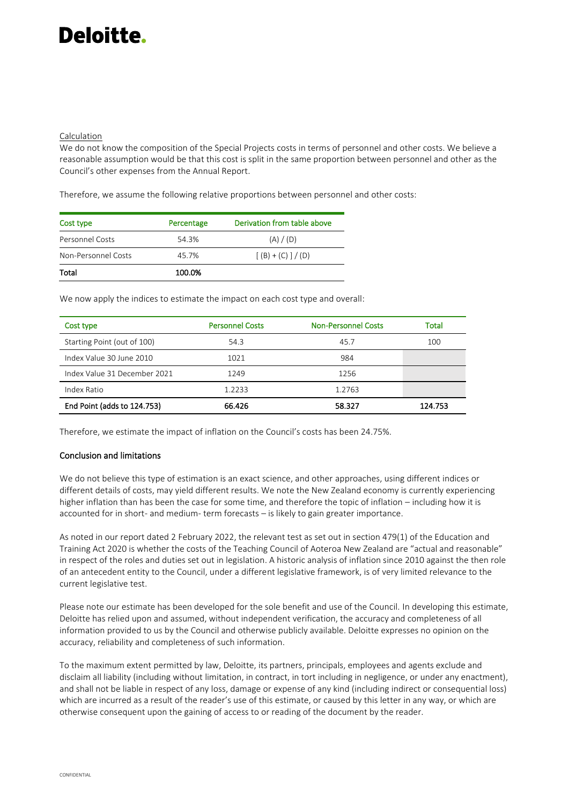# Deloitte.

## Calculation

We do not know the composition of the Special Projects costs in terms of personnel and other costs. We believe a reasonable assumption would be that this cost is split in the same proportion between personnel and other as the Council's other expenses from the Annual Report.

Therefore, we assume the following relative proportions between personnel and other costs:

| Cost type           | Percentage | Derivation from table above |
|---------------------|------------|-----------------------------|
| Personnel Costs     | 54.3%      | (A) / (D)                   |
| Non-Personnel Costs | 45.7%      | $[(B) + (C)] / (D)$         |
| Total               | 100.0%     |                             |

We now apply the indices to estimate the impact on each cost type and overall:

| Cost type                    | <b>Personnel Costs</b> | <b>Non-Personnel Costs</b> | Total   |
|------------------------------|------------------------|----------------------------|---------|
| Starting Point (out of 100)  | 54.3                   | 45.7                       | 100     |
| Index Value 30 June 2010     | 1021                   | 984                        |         |
| Index Value 31 December 2021 | 1249                   | 1256                       |         |
| Index Ratio                  | 1.2233                 | 1.2763                     |         |
| End Point (adds to 124.753)  | 66.426                 | 58.327                     | 124.753 |

Therefore, we estimate the impact of inflation on the Council's costs has been 24.75%.

## Conclusion and limitations

We do not believe this type of estimation is an exact science, and other approaches, using different indices or different details of costs, may yield different results. We note the New Zealand economy is currently experiencing higher inflation than has been the case for some time, and therefore the topic of inflation – including how it is accounted for in short- and medium- term forecasts – is likely to gain greater importance.

As noted in our report dated 2 February 2022, the relevant test as set out in section 479(1) of the Education and Training Act 2020 is whether the costs of the Teaching Council of Aoteroa New Zealand are "actual and reasonable" in respect of the roles and duties set out in legislation. A historic analysis of inflation since 2010 against the then role of an antecedent entity to the Council, under a different legislative framework, is of very limited relevance to the current legislative test.

Please note our estimate has been developed for the sole benefit and use of the Council. In developing this estimate, Deloitte has relied upon and assumed, without independent verification, the accuracy and completeness of all information provided to us by the Council and otherwise publicly available. Deloitte expresses no opinion on the accuracy, reliability and completeness of such information.

To the maximum extent permitted by law, Deloitte, its partners, principals, employees and agents exclude and disclaim all liability (including without limitation, in contract, in tort including in negligence, or under any enactment), and shall not be liable in respect of any loss, damage or expense of any kind (including indirect or consequential loss) which are incurred as a result of the reader's use of this estimate, or caused by this letter in any way, or which are otherwise consequent upon the gaining of access to or reading of the document by the reader.